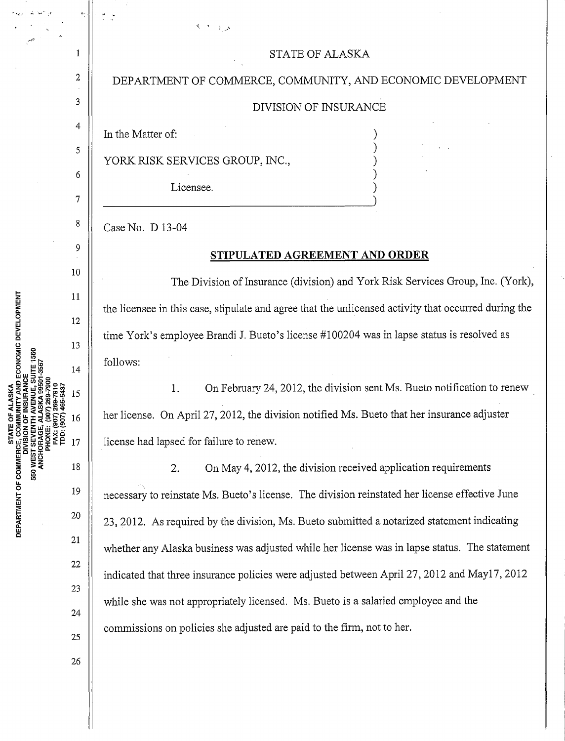## STATE OF ALASKA

## DEPARTMENT OF COMMERCE, COMMUNITY, AND ECONOMIC DEVELOPMENT

## DIVISION OF INSURANCE

) ) ) )

In the Matter of:

2

 $\mathbf{1}$ 

3

4

5

6

7

8

9

10

11

12

13

14

15

16

17

19

18

20

21

22

23

24

25

26

YORK RISK SERVICES GROUP, INC.,

Licensee.

Case No. D 13-04

## **STIPULATED AGREEMENT AND ORDER**

The Division of Insurance (division) and York Risk Services Group, Inc. (York), the licensee in this case, stipulate and agree that the unlicensed activity that occurred during the time York's employee Brandi J. Bueto's license #100204 was in lapse status is resolved as follows:

1. On February 24, 2012, the division sent Ms. Bueto notification to renew \_ her license. On April27, 2012, the division notified Ms. Bueto that her insurance adjuster license had lapsed for failure to renew.

2. On May 4, 2012, the division received application requirements necessary to reinstate Ms. Bueto's license. The division reinstated her license effective June 23, 2012. As required by the division, Ms. Bueto submitted a notarized statement indicating whether any Alaska business was adjusted while her license was in lapse status. The statement indicated that three insurance policies were adjusted between April27, 2012 and May17, 2012 while she was not appropriately licensed. Ms. Bueto is a salaried employee and the commissions on policies she adjusted are paid to the firm, not to her.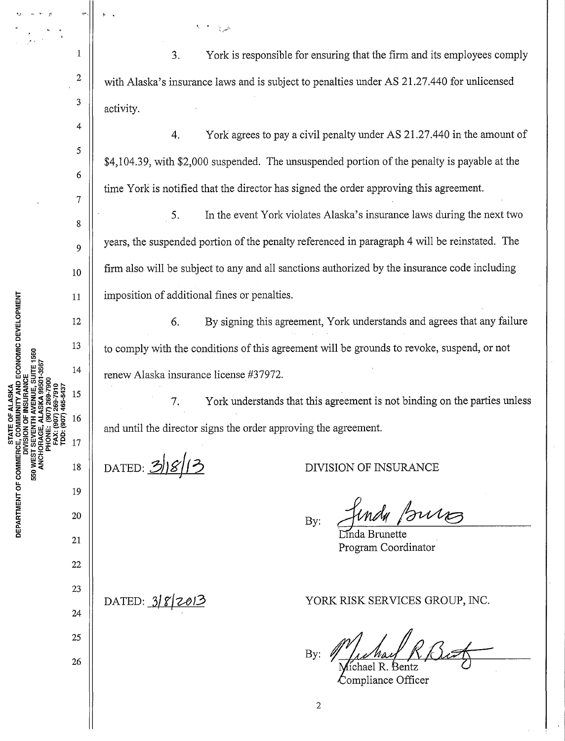3. York is responsible for ensuring that the firm and its employees comply with Alaska's insurance laws and is subject to penalties under AS 21.27.440 for unlicensed activity.

4. York agrees to pay a civil penalty under AS 21.27.440 in the amount of \$4,104.39, with \$2,000 suspended. The unsuspended portion of the penalty is payable at the time York is notified that the director has signed the order approving this agreement.

5. In the event York violates Alaska's insurance laws during the next two years, the suspended portion of the penalty referenced in paragraph 4 will be reinstated. The firm also will be subject to any and all sanctions authorized by the insurance code including imposition of additional fines or penalties.

6. By signing this agreement, York understands and agrees that any failure to comply with the conditions of this agreement will be grounds to revoke, suspend, or not renew Alaska insurance license #3 7972.

7. York understands that this agreement is not binding on the parties unless and until the director signs the order approving the agreement.

DATED: 3/8/13

.\_, - .. \_ rt

1

2

3

4

5

6

7

8

9

10

11

12

13

14

15

16

17

18

19

20

21

AND ECONOMIC DEVELOPMENT

DEPARTMENT OF COMMERC

550 WE

DIVISION OF INSURANCE

By: *fundy purs* 

da Brunette Program Coordinator

 $DATAED: 382013$ 

25 26

22

23

24

YORK RISK SERVICES GROUP, INC.

By: ichael R. Bentz

Compliance Officer

2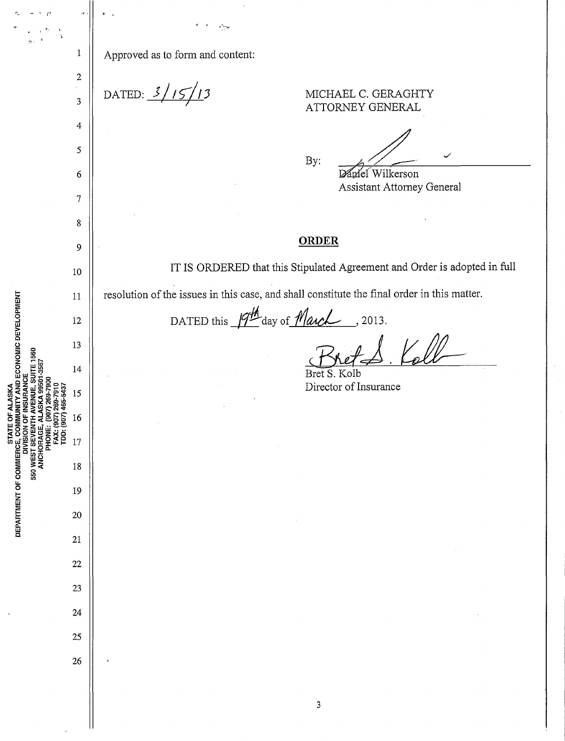|                                                                                                                                                                    | $\mathbf{1}$                | Approved as to form and content:                                                            |
|--------------------------------------------------------------------------------------------------------------------------------------------------------------------|-----------------------------|---------------------------------------------------------------------------------------------|
|                                                                                                                                                                    | $\boldsymbol{2}$<br>ċ,<br>3 | DATED: $3/15/13$<br>MICHAEL C. GERAGHTY<br>ATTORNEY GENERAL                                 |
| ECONOMIC DEVELOPMENT<br>1560<br>š                                                                                                                                  | $\overline{4}$              |                                                                                             |
|                                                                                                                                                                    | $\sqrt{5}$                  | By:                                                                                         |
|                                                                                                                                                                    | 6                           | Wilkerson<br>mel                                                                            |
|                                                                                                                                                                    | $\tau$                      | Assistant Attorney General                                                                  |
|                                                                                                                                                                    | 8                           |                                                                                             |
|                                                                                                                                                                    | 9                           | <b>ORDER</b>                                                                                |
|                                                                                                                                                                    | 10                          | IT IS ORDERED that this Stipulated Agreement and Order is adopted in full                   |
|                                                                                                                                                                    | 11                          | resolution of the issues in this case, and shall constitute the final order in this matter. |
|                                                                                                                                                                    | 12                          | DATED this $\beta^{\underline{\#}}$ day of <i>March</i><br>, 2013.                          |
|                                                                                                                                                                    | 13                          |                                                                                             |
|                                                                                                                                                                    | 14                          | Bret S. Kolb                                                                                |
|                                                                                                                                                                    | 15                          | Director of Insurance                                                                       |
|                                                                                                                                                                    | 16                          |                                                                                             |
| FAX: (90<br>TDD: (91                                                                                                                                               | 17                          |                                                                                             |
|                                                                                                                                                                    | 18                          |                                                                                             |
|                                                                                                                                                                    | 19                          |                                                                                             |
| 9)<br>DEPARTMENT OF COMMERCE, COMM<br>DIVISION OF BSO WE DIVISION OF<br>DIVISION OF SSO WE DIVISION OF<br>DEPARTMENT OF SOLUTION OF ANCHORAGE, AL<br>ANCHORAGE, AL | 20                          |                                                                                             |
|                                                                                                                                                                    | 21                          |                                                                                             |
|                                                                                                                                                                    | 22                          |                                                                                             |
|                                                                                                                                                                    | 23                          |                                                                                             |
|                                                                                                                                                                    | 24                          |                                                                                             |
|                                                                                                                                                                    | 25                          |                                                                                             |
|                                                                                                                                                                    | 26                          | $\bullet$                                                                                   |
|                                                                                                                                                                    |                             |                                                                                             |
|                                                                                                                                                                    |                             | 3                                                                                           |
|                                                                                                                                                                    |                             |                                                                                             |

 $\hat{\boldsymbol{\theta}}$